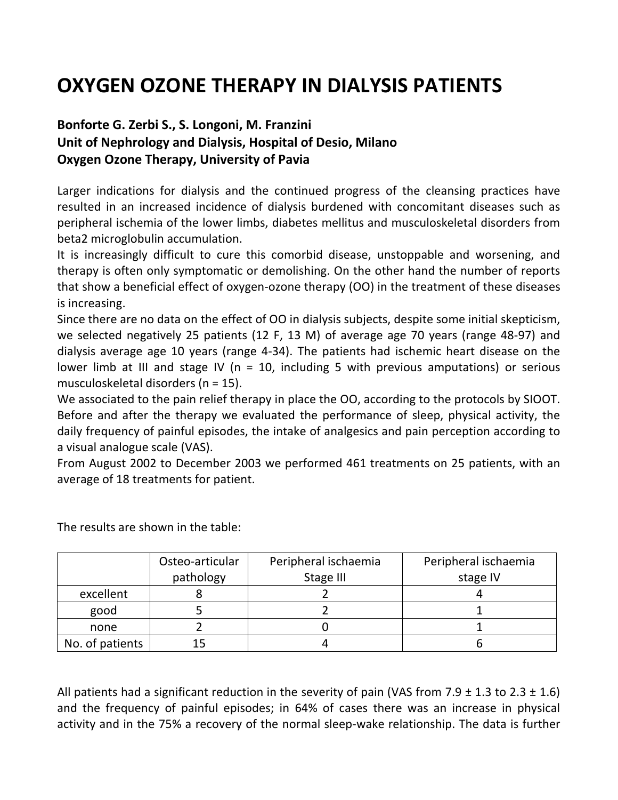## **OXYGEN OZONE THERAPY IN DIALYSIS PATIENTS**

## **Bonforte G. Zerbi S., S. Longoni, M. Franzini Unit of Nephrology and Dialysis, Hospital of Desio, Milano Oxygen Ozone Therapy, University of Pavia**

Larger indications for dialysis and the continued progress of the cleansing practices have resulted in an increased incidence of dialysis burdened with concomitant diseases such as peripheral ischemia of the lower limbs, diabetes mellitus and musculoskeletal disorders from beta2 microglobulin accumulation.

It is increasingly difficult to cure this comorbid disease, unstoppable and worsening, and therapy is often only symptomatic or demolishing. On the other hand the number of reports that show a beneficial effect of oxygen-ozone therapy (OO) in the treatment of these diseases is increasing.

Since there are no data on the effect of OO in dialysis subjects, despite some initial skepticism, we selected negatively 25 patients (12 F, 13 M) of average age 70 years (range 48-97) and dialysis average age 10 years (range 4-34). The patients had ischemic heart disease on the lower limb at III and stage IV ( $n = 10$ , including 5 with previous amputations) or serious musculoskeletal disorders (n = 15).

We associated to the pain relief therapy in place the OO, according to the protocols by SIOOT. Before and after the therapy we evaluated the performance of sleep, physical activity, the daily frequency of painful episodes, the intake of analgesics and pain perception according to a visual analogue scale (VAS).

From August 2002 to December 2003 we performed 461 treatments on 25 patients, with an average of 18 treatments for patient.

|                 | Osteo-articular | Peripheral ischaemia | Peripheral ischaemia |
|-----------------|-----------------|----------------------|----------------------|
|                 | pathology       | Stage III            | stage IV             |
| excellent       |                 |                      |                      |
| good            |                 |                      |                      |
| none            |                 |                      |                      |
| No. of patients |                 |                      |                      |

The results are shown in the table:

All patients had a significant reduction in the severity of pain (VAS from 7.9  $\pm$  1.3 to 2.3  $\pm$  1.6) and the frequency of painful episodes; in 64% of cases there was an increase in physical activity and in the 75% a recovery of the normal sleep-wake relationship. The data is further